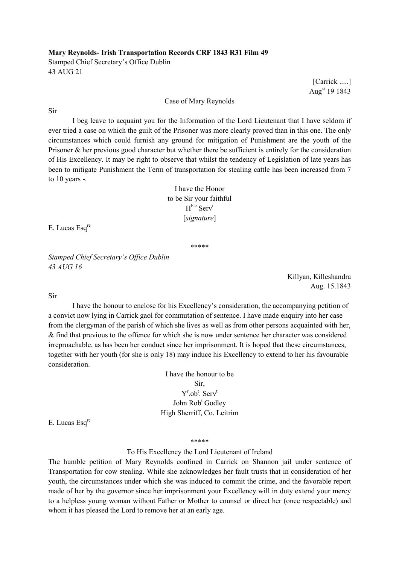## Mary Reynolds- Irish Transportation Records CRF 1843 R31 Film 49

Stamped Chief Secretary's Office Dublin 43 AUG 21

[Carrick .....] Augst 19 1843

## Case of Mary Reynolds

Sir

 I beg leave to acquaint you for the Information of the Lord Lieutenant that I have seldom if ever tried a case on which the guilt of the Prisoner was more clearly proved than in this one. The only circumstances which could furnish any ground for mitigation of Punishment are the youth of the Prisoner & her previous good character but whether there be sufficient is entirely for the consideration of His Excellency. It may be right to observe that whilst the tendency of Legislation of late years has been to mitigate Punishment the Term of transportation for stealing cattle has been increased from 7 to 10 years -.

> I have the Honor to be Sir your faithful  $H^{ble}$  Serv<sup>t</sup> [signature]

E. Lucas Esq<sup>re</sup>

\*\*\*\*\*

Stamped Chief Secretary's Office Dublin 43 AUG 16

> Killyan, Killeshandra Aug. 15.1843

Sir

 I have the honour to enclose for his Excellency's consideration, the accompanying petition of a convict now lying in Carrick gaol for commutation of sentence. I have made enquiry into her case from the clergyman of the parish of which she lives as well as from other persons acquainted with her, & find that previous to the offence for which she is now under sentence her character was considered irreproachable, as has been her conduct since her imprisonment. It is hoped that these circumstances, together with her youth (for she is only 18) may induce his Excellency to extend to her his favourable consideration.

> I have the honour to be Sir,  $Y^{\text{r}}$ .ob<sup>t</sup>. Serv<sup>t</sup> John Rob<sup>t</sup> Godley High Sherriff, Co. Leitrim

E. Lucas Esq<sup>re</sup>

\*\*\*\*\*

## To His Excellency the Lord Lieutenant of Ireland

The humble petition of Mary Reynolds confined in Carrick on Shannon jail under sentence of Transportation for cow stealing. While she acknowledges her fault trusts that in consideration of her youth, the circumstances under which she was induced to commit the crime, and the favorable report made of her by the governor since her imprisonment your Excellency will in duty extend your mercy to a helpless young woman without Father or Mother to counsel or direct her (once respectable) and whom it has pleased the Lord to remove her at an early age.